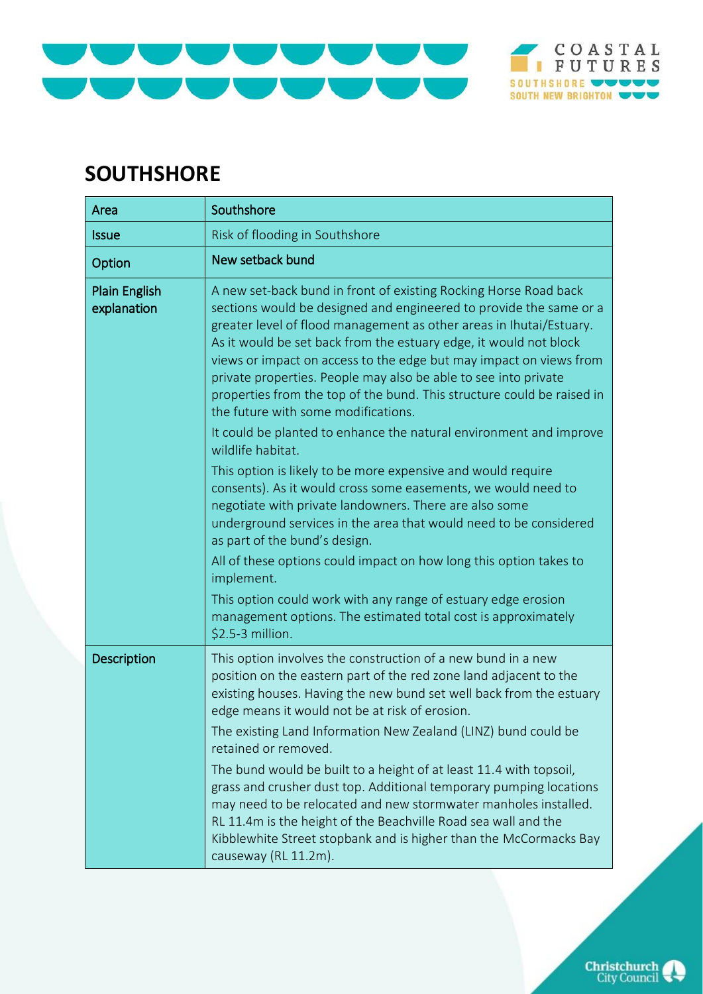

## **SOUTHSHORE**

| Area                                | Southshore                                                                                                                                                                                                                                                                                                                                                                                                                                                                                                                                                                                                                                                                                                                                                                                                                                                                                                                                                                                                                                                                                                                                                                         |
|-------------------------------------|------------------------------------------------------------------------------------------------------------------------------------------------------------------------------------------------------------------------------------------------------------------------------------------------------------------------------------------------------------------------------------------------------------------------------------------------------------------------------------------------------------------------------------------------------------------------------------------------------------------------------------------------------------------------------------------------------------------------------------------------------------------------------------------------------------------------------------------------------------------------------------------------------------------------------------------------------------------------------------------------------------------------------------------------------------------------------------------------------------------------------------------------------------------------------------|
| <b>Issue</b>                        | Risk of flooding in Southshore                                                                                                                                                                                                                                                                                                                                                                                                                                                                                                                                                                                                                                                                                                                                                                                                                                                                                                                                                                                                                                                                                                                                                     |
| Option                              | New setback bund                                                                                                                                                                                                                                                                                                                                                                                                                                                                                                                                                                                                                                                                                                                                                                                                                                                                                                                                                                                                                                                                                                                                                                   |
| <b>Plain English</b><br>explanation | A new set-back bund in front of existing Rocking Horse Road back<br>sections would be designed and engineered to provide the same or a<br>greater level of flood management as other areas in Ihutai/Estuary.<br>As it would be set back from the estuary edge, it would not block<br>views or impact on access to the edge but may impact on views from<br>private properties. People may also be able to see into private<br>properties from the top of the bund. This structure could be raised in<br>the future with some modifications.<br>It could be planted to enhance the natural environment and improve<br>wildlife habitat.<br>This option is likely to be more expensive and would require<br>consents). As it would cross some easements, we would need to<br>negotiate with private landowners. There are also some<br>underground services in the area that would need to be considered<br>as part of the bund's design.<br>All of these options could impact on how long this option takes to<br>implement.<br>This option could work with any range of estuary edge erosion<br>management options. The estimated total cost is approximately<br>\$2.5-3 million. |
| Description                         | This option involves the construction of a new bund in a new<br>position on the eastern part of the red zone land adjacent to the<br>existing houses. Having the new bund set well back from the estuary<br>edge means it would not be at risk of erosion.<br>The existing Land Information New Zealand (LINZ) bund could be<br>retained or removed.<br>The bund would be built to a height of at least 11.4 with topsoil,<br>grass and crusher dust top. Additional temporary pumping locations<br>may need to be relocated and new stormwater manholes installed.<br>RL 11.4m is the height of the Beachville Road sea wall and the<br>Kibblewhite Street stopbank and is higher than the McCormacks Bay<br>causeway (RL 11.2m).                                                                                                                                                                                                                                                                                                                                                                                                                                                 |

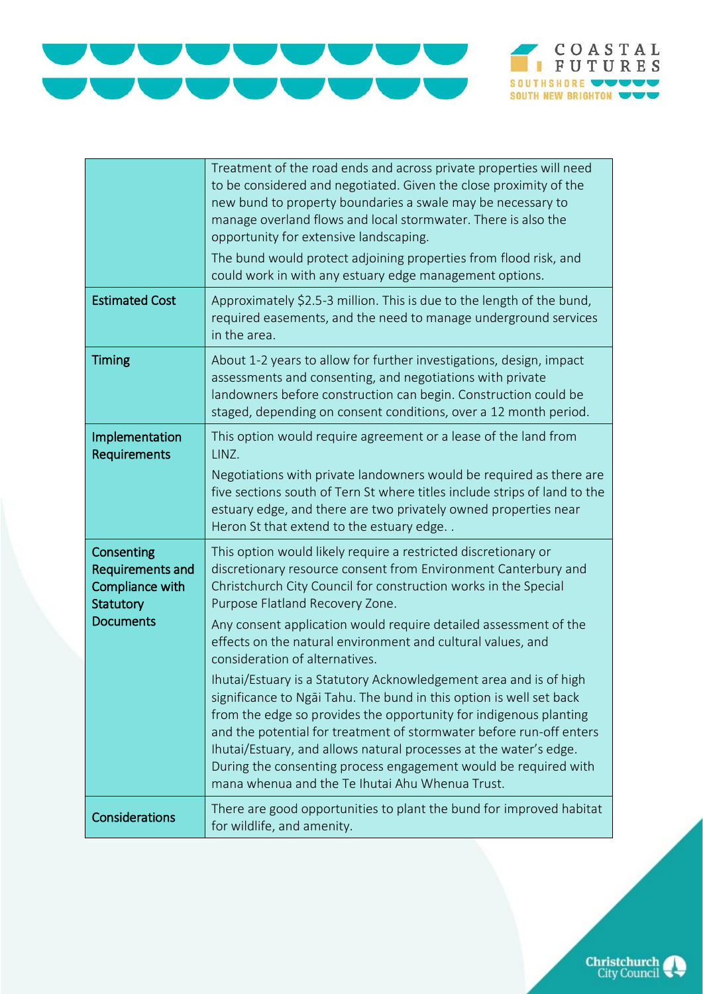



|                                                                                    | Treatment of the road ends and across private properties will need<br>to be considered and negotiated. Given the close proximity of the<br>new bund to property boundaries a swale may be necessary to<br>manage overland flows and local stormwater. There is also the<br>opportunity for extensive landscaping.<br>The bund would protect adjoining properties from flood risk, and<br>could work in with any estuary edge management options.                                                                                                                                                                                                                                                                                                                                                                                                                                               |
|------------------------------------------------------------------------------------|------------------------------------------------------------------------------------------------------------------------------------------------------------------------------------------------------------------------------------------------------------------------------------------------------------------------------------------------------------------------------------------------------------------------------------------------------------------------------------------------------------------------------------------------------------------------------------------------------------------------------------------------------------------------------------------------------------------------------------------------------------------------------------------------------------------------------------------------------------------------------------------------|
| <b>Estimated Cost</b>                                                              | Approximately \$2.5-3 million. This is due to the length of the bund,<br>required easements, and the need to manage underground services<br>in the area.                                                                                                                                                                                                                                                                                                                                                                                                                                                                                                                                                                                                                                                                                                                                       |
| <b>Timing</b>                                                                      | About 1-2 years to allow for further investigations, design, impact<br>assessments and consenting, and negotiations with private<br>landowners before construction can begin. Construction could be<br>staged, depending on consent conditions, over a 12 month period.                                                                                                                                                                                                                                                                                                                                                                                                                                                                                                                                                                                                                        |
| Implementation<br><b>Requirements</b>                                              | This option would require agreement or a lease of the land from<br>LINZ.<br>Negotiations with private landowners would be required as there are<br>five sections south of Tern St where titles include strips of land to the<br>estuary edge, and there are two privately owned properties near<br>Heron St that extend to the estuary edge                                                                                                                                                                                                                                                                                                                                                                                                                                                                                                                                                    |
| Consenting<br>Requirements and<br>Compliance with<br>Statutory<br><b>Documents</b> | This option would likely require a restricted discretionary or<br>discretionary resource consent from Environment Canterbury and<br>Christchurch City Council for construction works in the Special<br>Purpose Flatland Recovery Zone.<br>Any consent application would require detailed assessment of the<br>effects on the natural environment and cultural values, and<br>consideration of alternatives.<br>Ihutai/Estuary is a Statutory Acknowledgement area and is of high<br>significance to Ngai Tahu. The bund in this option is well set back<br>from the edge so provides the opportunity for indigenous planting<br>and the potential for treatment of stormwater before run-off enters<br>Ihutai/Estuary, and allows natural processes at the water's edge.<br>During the consenting process engagement would be required with<br>mana whenua and the Te Ihutai Ahu Whenua Trust. |
| Considerations                                                                     | There are good opportunities to plant the bund for improved habitat<br>for wildlife, and amenity.                                                                                                                                                                                                                                                                                                                                                                                                                                                                                                                                                                                                                                                                                                                                                                                              |

**Christchurch**